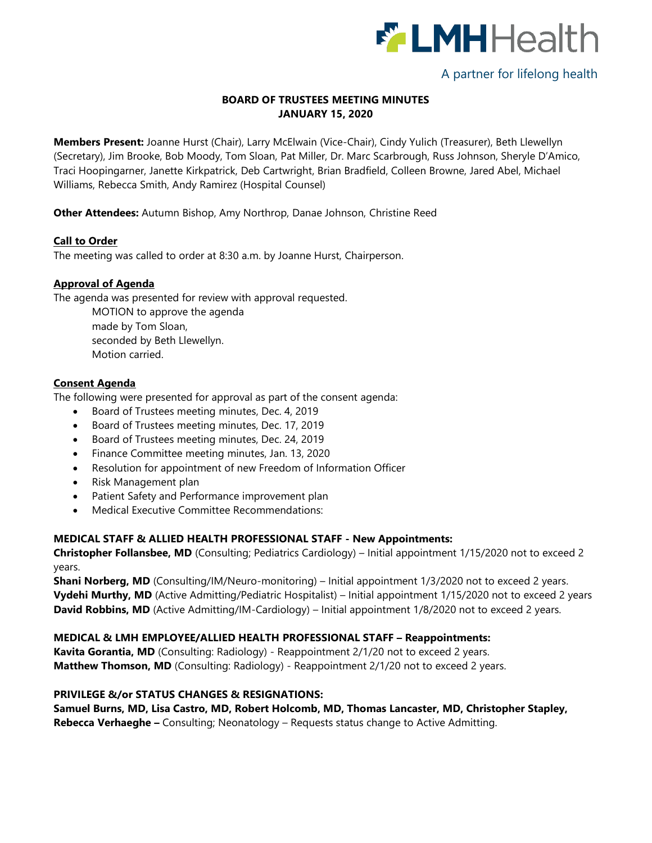

# A partner for lifelong health

## **BOARD OF TRUSTEES MEETING MINUTES JANUARY 15, 2020**

**Members Present:** Joanne Hurst (Chair), Larry McElwain (Vice-Chair), Cindy Yulich (Treasurer), Beth Llewellyn (Secretary), Jim Brooke, Bob Moody, Tom Sloan, Pat Miller, Dr. Marc Scarbrough, Russ Johnson, Sheryle D'Amico, Traci Hoopingarner, Janette Kirkpatrick, Deb Cartwright, Brian Bradfield, Colleen Browne, Jared Abel, Michael Williams, Rebecca Smith, Andy Ramirez (Hospital Counsel)

**Other Attendees:** Autumn Bishop, Amy Northrop, Danae Johnson, Christine Reed

## **Call to Order**

The meeting was called to order at 8:30 a.m. by Joanne Hurst, Chairperson.

## **Approval of Agenda**

The agenda was presented for review with approval requested.

MOTION to approve the agenda made by Tom Sloan, seconded by Beth Llewellyn. Motion carried.

## **Consent Agenda**

The following were presented for approval as part of the consent agenda:

- Board of Trustees meeting minutes, Dec. 4, 2019
- Board of Trustees meeting minutes, Dec. 17, 2019
- Board of Trustees meeting minutes, Dec. 24, 2019
- Finance Committee meeting minutes, Jan. 13, 2020
- Resolution for appointment of new Freedom of Information Officer
- Risk Management plan
- Patient Safety and Performance improvement plan
- Medical Executive Committee Recommendations:

# **MEDICAL STAFF & ALLIED HEALTH PROFESSIONAL STAFF - New Appointments:**

**Christopher Follansbee, MD** (Consulting; Pediatrics Cardiology) – Initial appointment 1/15/2020 not to exceed 2 years.

**Shani Norberg, MD** (Consulting/IM/Neuro-monitoring) – Initial appointment 1/3/2020 not to exceed 2 years. **Vydehi Murthy, MD** (Active Admitting/Pediatric Hospitalist) – Initial appointment 1/15/2020 not to exceed 2 years **David Robbins, MD** (Active Admitting/IM-Cardiology) – Initial appointment 1/8/2020 not to exceed 2 years.

# **MEDICAL & LMH EMPLOYEE/ALLIED HEALTH PROFESSIONAL STAFF – Reappointments:**

**Kavita Gorantia, MD** (Consulting: Radiology) - Reappointment 2/1/20 not to exceed 2 years. **Matthew Thomson, MD** (Consulting: Radiology) - Reappointment 2/1/20 not to exceed 2 years.

#### **PRIVILEGE &/or STATUS CHANGES & RESIGNATIONS:**

**Samuel Burns, MD, Lisa Castro, MD, Robert Holcomb, MD, Thomas Lancaster, MD, Christopher Stapley, Rebecca Verhaeghe –** Consulting; Neonatology – Requests status change to Active Admitting.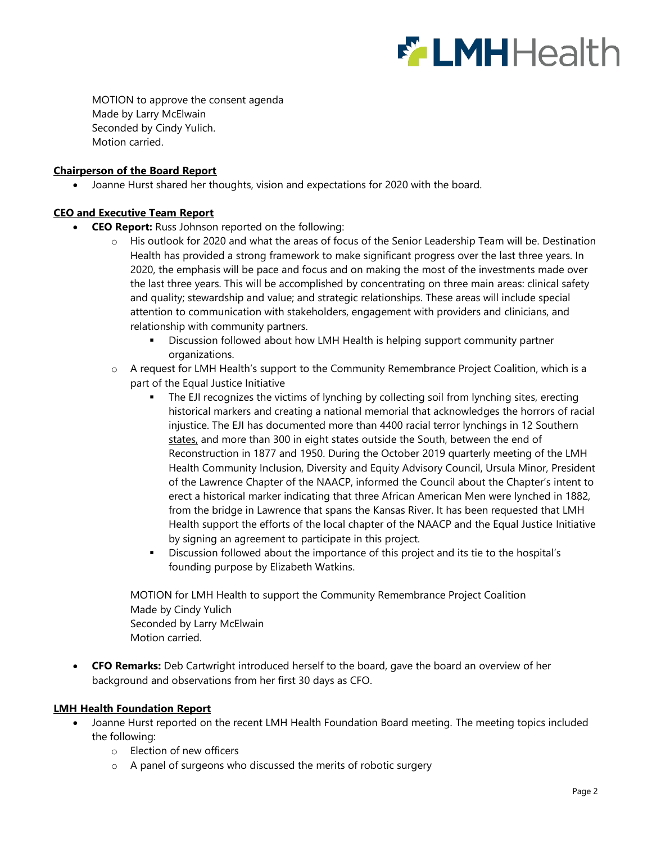

MOTION to approve the consent agenda Made by Larry McElwain Seconded by Cindy Yulich. Motion carried.

#### **Chairperson of the Board Report**

Joanne Hurst shared her thoughts, vision and expectations for 2020 with the board.

# **CEO and Executive Team Report**

- **CEO Report:** Russ Johnson reported on the following:
	- o His outlook for 2020 and what the areas of focus of the Senior Leadership Team will be. Destination Health has provided a strong framework to make significant progress over the last three years. In 2020, the emphasis will be pace and focus and on making the most of the investments made over the last three years. This will be accomplished by concentrating on three main areas: clinical safety and quality; stewardship and value; and strategic relationships. These areas will include special attention to communication with stakeholders, engagement with providers and clinicians, and relationship with community partners.
		- Discussion followed about how LMH Health is helping support community partner organizations.
	- o A request for LMH Health's support to the Community Remembrance Project Coalition, which is a part of the Equal Justice Initiative
		- The EJI recognizes the victims of lynching by collecting soil from lynching sites, erecting historical markers and creating a national memorial that acknowledges the horrors of racial injustice. The EJI has documented more than 4400 racial terror lynchings in 12 Southern states, and more than 300 in eight states outside the South, between the end of Reconstruction in 1877 and 1950. During the October 2019 quarterly meeting of the LMH Health Community Inclusion, Diversity and Equity Advisory Council, Ursula Minor, President of the Lawrence Chapter of the NAACP, informed the Council about the Chapter's intent to erect a historical marker indicating that three African American Men were lynched in 1882, from the bridge in Lawrence that spans the Kansas River. It has been requested that LMH Health support the efforts of the local chapter of the NAACP and the Equal Justice Initiative by signing an agreement to participate in this project.
		- Discussion followed about the importance of this project and its tie to the hospital's founding purpose by Elizabeth Watkins.

MOTION for LMH Health to support the Community Remembrance Project Coalition Made by Cindy Yulich Seconded by Larry McElwain Motion carried.

 **CFO Remarks:** Deb Cartwright introduced herself to the board, gave the board an overview of her background and observations from her first 30 days as CFO.

#### **LMH Health Foundation Report**

- Joanne Hurst reported on the recent LMH Health Foundation Board meeting. The meeting topics included the following:
	- o Election of new officers
	- o A panel of surgeons who discussed the merits of robotic surgery